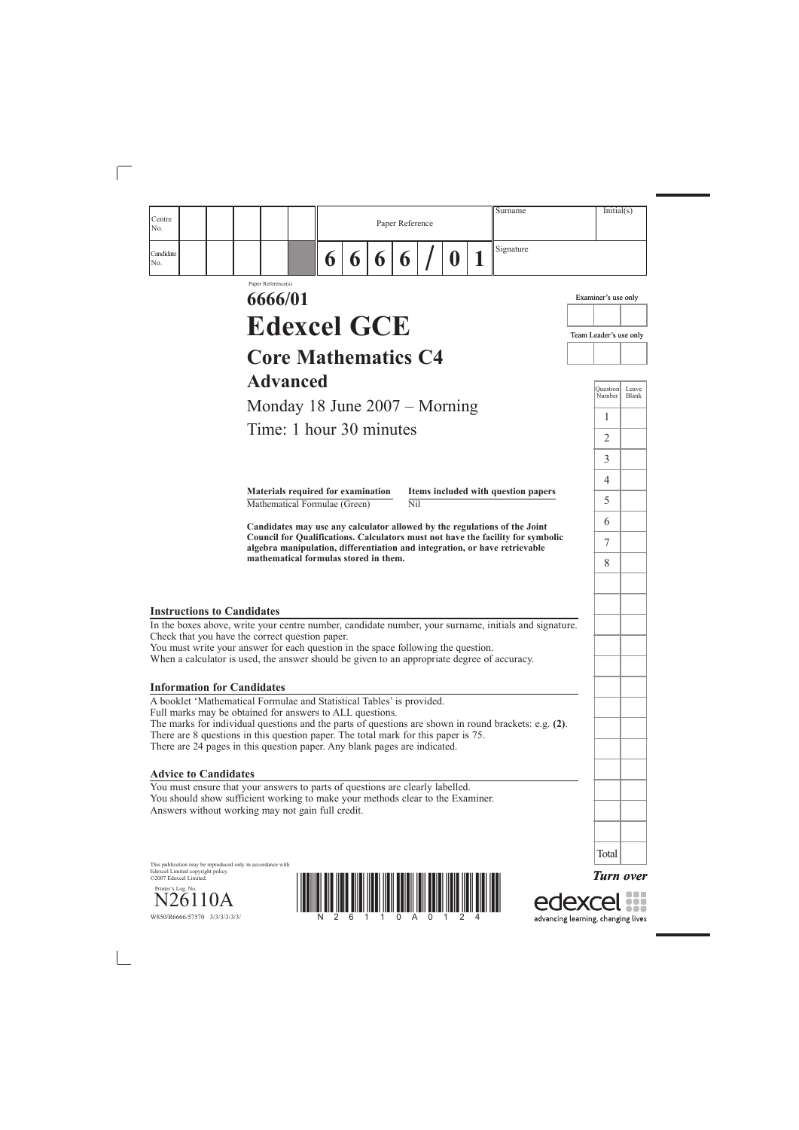

edexcel

| No.                                                                                                                                                                                                                                                                                                                                                                               |                                                                                                                                                                                                                      |   |   |   | Paper Reference         |  | Surname                                                                         | Initial(s)             |              |
|-----------------------------------------------------------------------------------------------------------------------------------------------------------------------------------------------------------------------------------------------------------------------------------------------------------------------------------------------------------------------------------|----------------------------------------------------------------------------------------------------------------------------------------------------------------------------------------------------------------------|---|---|---|-------------------------|--|---------------------------------------------------------------------------------|------------------------|--------------|
| Candidate<br>No.                                                                                                                                                                                                                                                                                                                                                                  |                                                                                                                                                                                                                      | 6 | 6 | 6 | $\boldsymbol{\theta}$   |  | Signature                                                                       |                        |              |
|                                                                                                                                                                                                                                                                                                                                                                                   | Paper Reference(s)<br>6666/01                                                                                                                                                                                        |   |   |   |                         |  |                                                                                 | Examiner's use only    |              |
|                                                                                                                                                                                                                                                                                                                                                                                   | <b>Edexcel GCE</b>                                                                                                                                                                                                   |   |   |   |                         |  |                                                                                 | Team Leader's use only |              |
|                                                                                                                                                                                                                                                                                                                                                                                   | <b>Core Mathematics C4</b>                                                                                                                                                                                           |   |   |   |                         |  |                                                                                 |                        |              |
|                                                                                                                                                                                                                                                                                                                                                                                   | <b>Advanced</b>                                                                                                                                                                                                      |   |   |   |                         |  |                                                                                 | Question               | Leave        |
|                                                                                                                                                                                                                                                                                                                                                                                   | Monday 18 June $2007 -$ Morning                                                                                                                                                                                      |   |   |   |                         |  |                                                                                 | Number<br>1            | <b>Blank</b> |
|                                                                                                                                                                                                                                                                                                                                                                                   | Time: 1 hour 30 minutes                                                                                                                                                                                              |   |   |   |                         |  |                                                                                 | $\overline{2}$         |              |
|                                                                                                                                                                                                                                                                                                                                                                                   |                                                                                                                                                                                                                      |   |   |   |                         |  |                                                                                 | 3                      |              |
|                                                                                                                                                                                                                                                                                                                                                                                   |                                                                                                                                                                                                                      |   |   |   |                         |  |                                                                                 | $\overline{4}$         |              |
|                                                                                                                                                                                                                                                                                                                                                                                   | Materials required for examination<br>Mathematical Formulae (Green)                                                                                                                                                  |   |   |   | $\overline{\text{Nil}}$ |  | Items included with question papers                                             | 5                      |              |
|                                                                                                                                                                                                                                                                                                                                                                                   | Candidates may use any calculator allowed by the regulations of the Joint                                                                                                                                            |   |   |   |                         |  | Council for Qualifications. Calculators must not have the facility for symbolic | $\theta$               |              |
|                                                                                                                                                                                                                                                                                                                                                                                   | algebra manipulation, differentiation and integration, or have retrievable<br>mathematical formulas stored in them.                                                                                                  |   |   |   |                         |  |                                                                                 | 7                      |              |
|                                                                                                                                                                                                                                                                                                                                                                                   |                                                                                                                                                                                                                      |   |   |   |                         |  |                                                                                 | 8                      |              |
|                                                                                                                                                                                                                                                                                                                                                                                   |                                                                                                                                                                                                                      |   |   |   |                         |  |                                                                                 |                        |              |
| <b>Instructions to Candidates</b><br>In the boxes above, write your centre number, candidate number, your surname, initials and signature.<br>Check that you have the correct question paper.<br>You must write your answer for each question in the space following the question.<br>When a calculator is used, the answer should be given to an appropriate degree of accuracy. |                                                                                                                                                                                                                      |   |   |   |                         |  |                                                                                 |                        |              |
| <b>Information for Candidates</b><br>A booklet 'Mathematical Formulae and Statistical Tables' is provided.                                                                                                                                                                                                                                                                        |                                                                                                                                                                                                                      |   |   |   |                         |  |                                                                                 |                        |              |
| Full marks may be obtained for answers to ALL questions.<br>The marks for individual questions and the parts of questions are shown in round brackets: e.g. (2).<br>There are 8 questions in this question paper. The total mark for this paper is 75.<br>There are 24 pages in this question paper. Any blank pages are indicated.                                               |                                                                                                                                                                                                                      |   |   |   |                         |  |                                                                                 |                        |              |
| <b>Advice to Candidates</b>                                                                                                                                                                                                                                                                                                                                                       |                                                                                                                                                                                                                      |   |   |   |                         |  |                                                                                 |                        |              |
|                                                                                                                                                                                                                                                                                                                                                                                   | You must ensure that your answers to parts of questions are clearly labelled.<br>You should show sufficient working to make your methods clear to the Examiner.<br>Answers without working may not gain full credit. |   |   |   |                         |  |                                                                                 |                        |              |
|                                                                                                                                                                                                                                                                                                                                                                                   |                                                                                                                                                                                                                      |   |   |   |                         |  |                                                                                 |                        |              |

W850/R6666/57570 3/3/3/3/3/3/

 $\overline{\phantom{a}}$ 

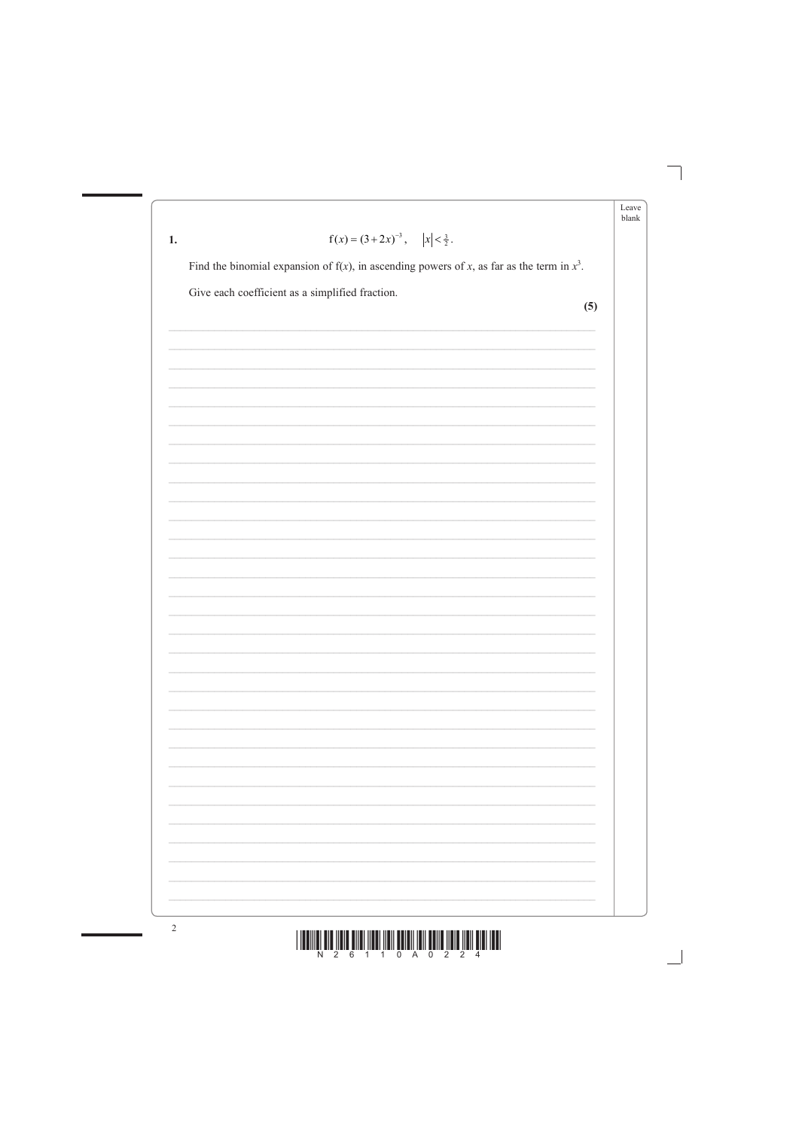



 $\overline{2}$ 

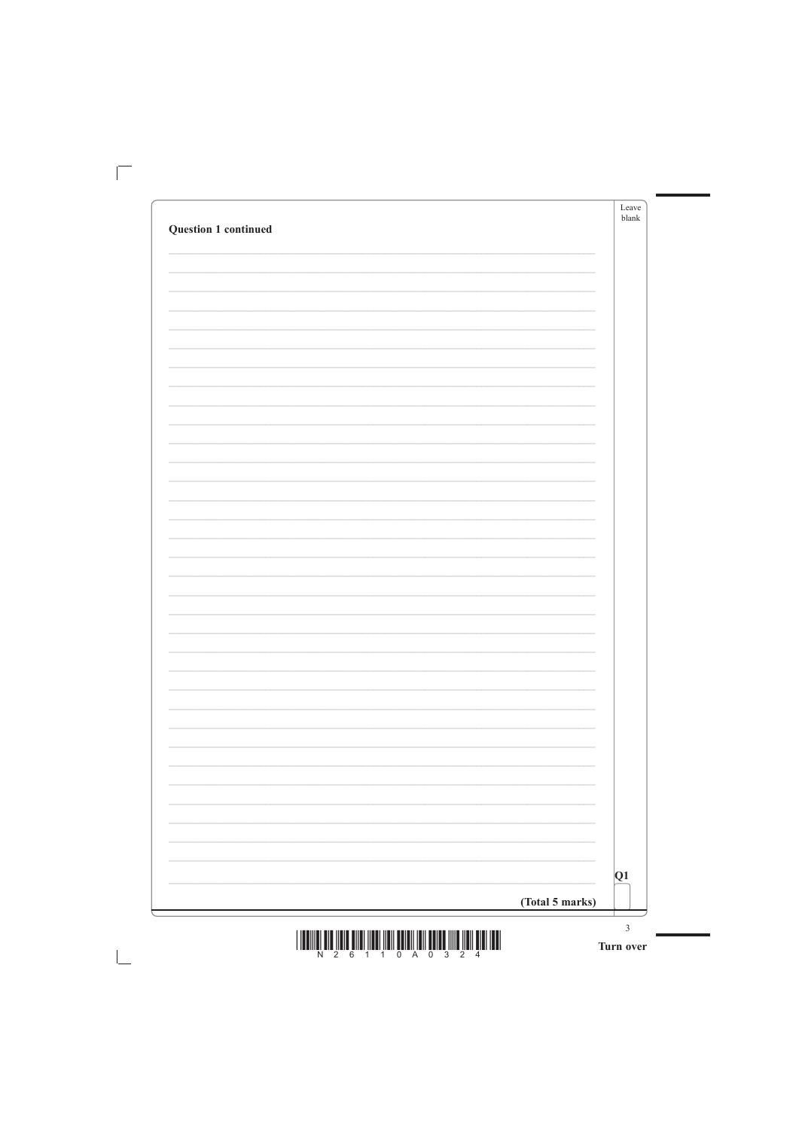|                             | Leave<br>blank |
|-----------------------------|----------------|
| <b>Question 1 continued</b> |                |
|                             |                |
|                             |                |
|                             |                |
|                             |                |
|                             |                |
|                             |                |
|                             |                |
|                             |                |
|                             |                |
|                             |                |
|                             |                |
|                             |                |
|                             |                |
|                             |                |
|                             |                |
|                             |                |
|                             |                |
|                             |                |
|                             |                |
|                             |                |
|                             |                |
|                             |                |
|                             |                |
|                             |                |
|                             |                |
|                             |                |
|                             |                |
|                             |                |
|                             |                |
|                             |                |
|                             |                |
|                             |                |
|                             |                |
|                             |                |
|                             |                |
|                             |                |
|                             |                |

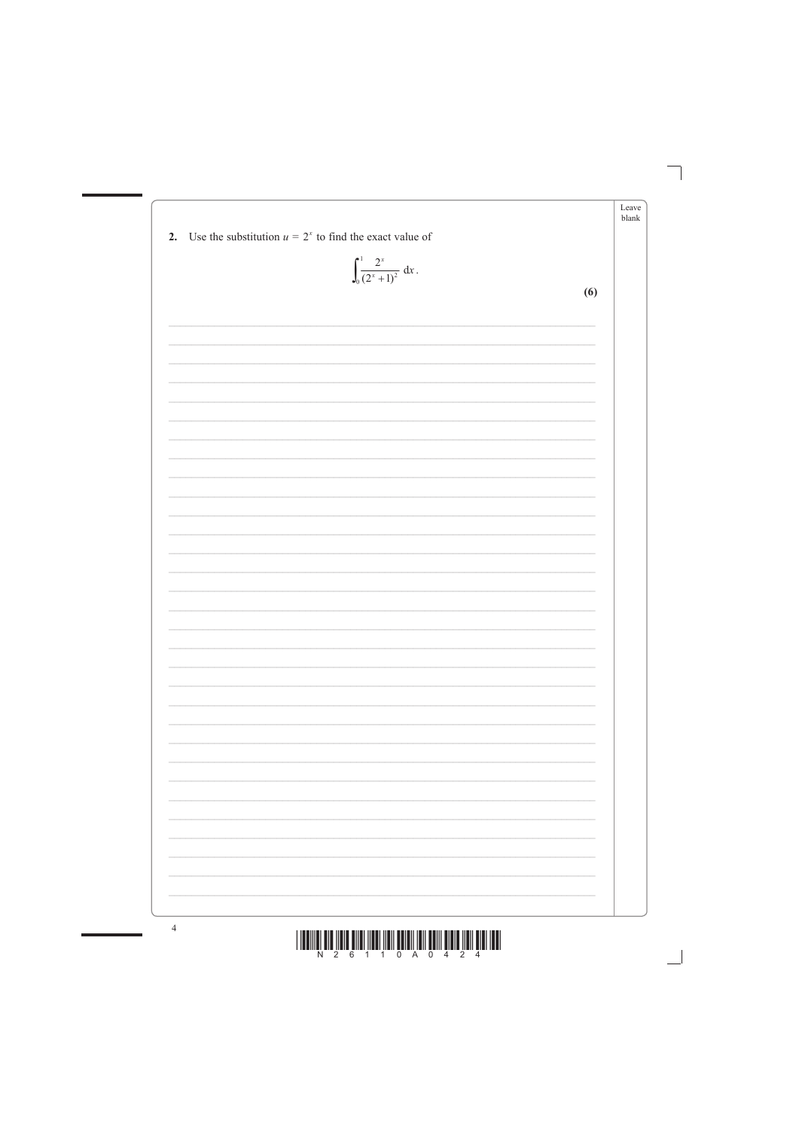





 $\overline{4}$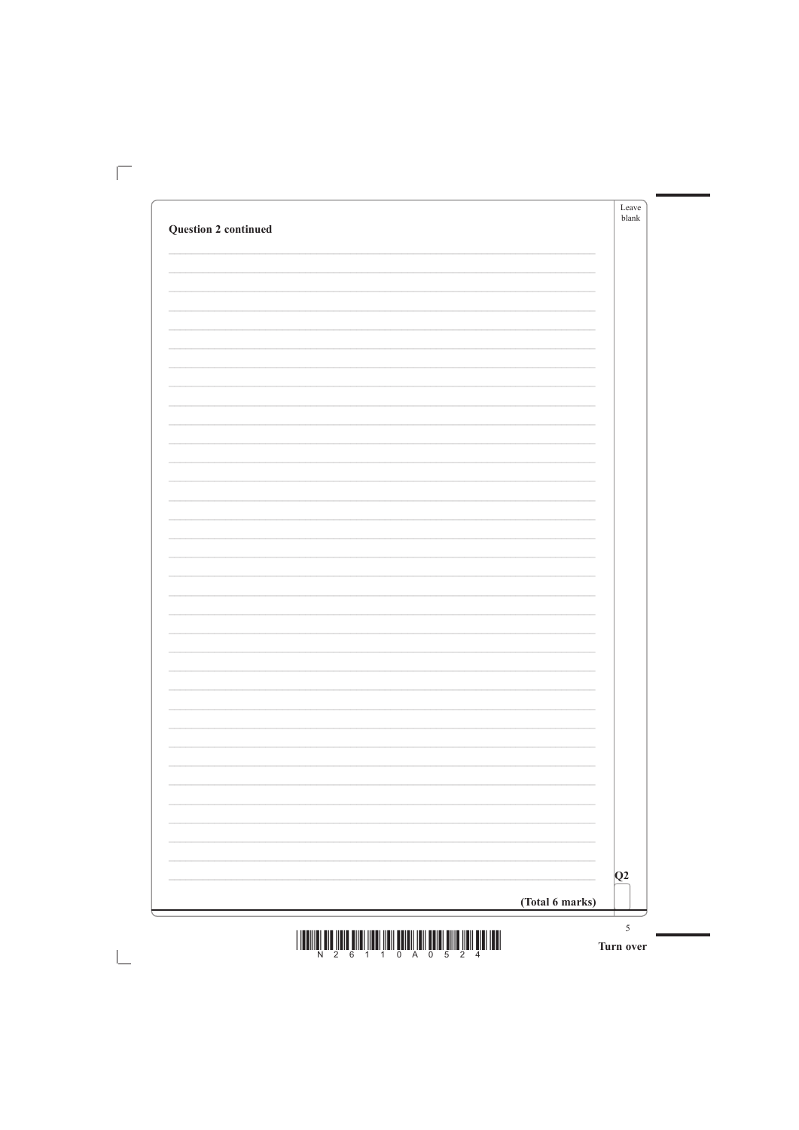|                             | Leave<br>blank |
|-----------------------------|----------------|
| <b>Question 2 continued</b> |                |
|                             |                |
|                             |                |
|                             |                |
|                             |                |
|                             |                |
|                             |                |
|                             |                |
|                             |                |
|                             |                |
|                             |                |
|                             |                |
|                             |                |
|                             |                |
|                             |                |
|                             |                |
|                             |                |
|                             |                |
|                             |                |
|                             |                |
|                             |                |
|                             |                |
|                             |                |
|                             |                |
|                             |                |
|                             |                |
|                             |                |
|                             |                |
|                             |                |
|                             |                |
|                             |                |
|                             |                |
|                             |                |
|                             |                |
|                             |                |
|                             |                |
|                             |                |

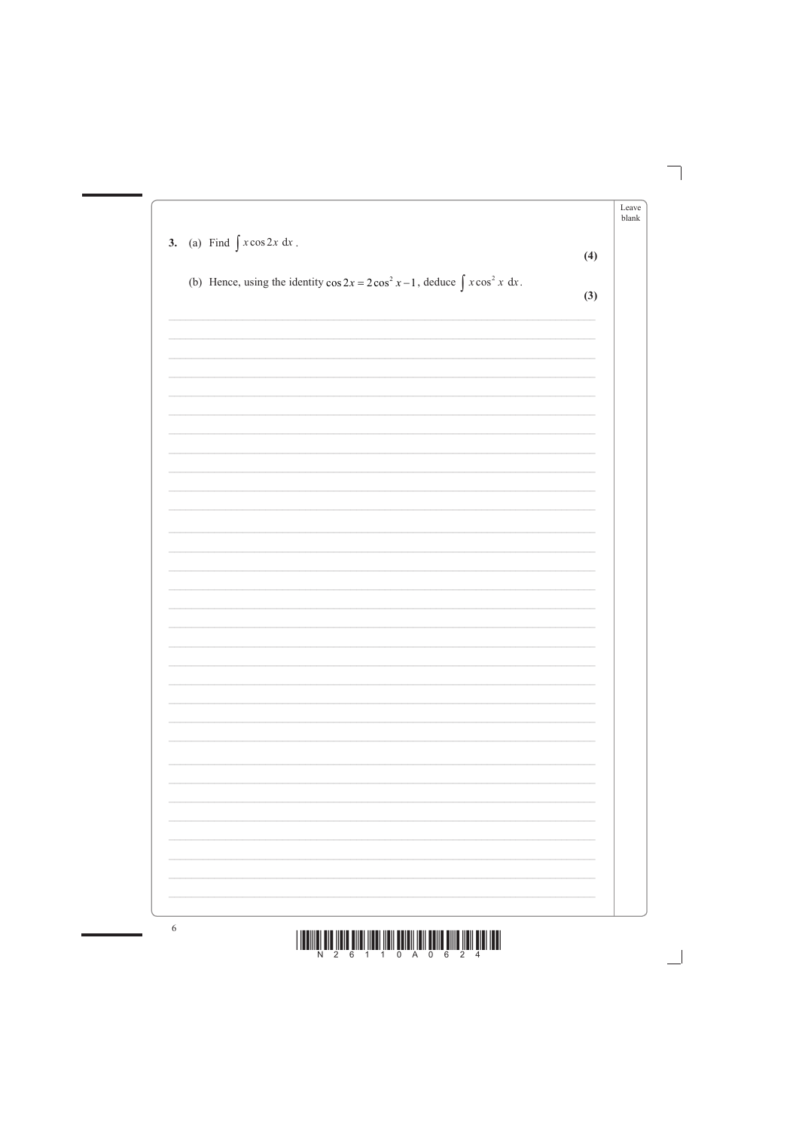| 3. (a) Find $\int x \cos 2x \ dx$ .                                                        | (4) |
|--------------------------------------------------------------------------------------------|-----|
|                                                                                            |     |
| (b) Hence, using the identity $\cos 2x = 2\cos^2 x - 1$ , deduce $\int x \cos^2 x \, dx$ . | (3) |
|                                                                                            |     |
|                                                                                            |     |
|                                                                                            |     |
|                                                                                            |     |
|                                                                                            |     |
|                                                                                            |     |
|                                                                                            |     |
|                                                                                            |     |
|                                                                                            |     |
|                                                                                            |     |
|                                                                                            |     |
|                                                                                            |     |
|                                                                                            |     |
|                                                                                            |     |
|                                                                                            |     |
|                                                                                            |     |
|                                                                                            |     |
|                                                                                            |     |
|                                                                                            |     |
|                                                                                            |     |
|                                                                                            |     |
|                                                                                            |     |
|                                                                                            |     |
|                                                                                            |     |
|                                                                                            |     |
|                                                                                            |     |
|                                                                                            |     |
|                                                                                            |     |



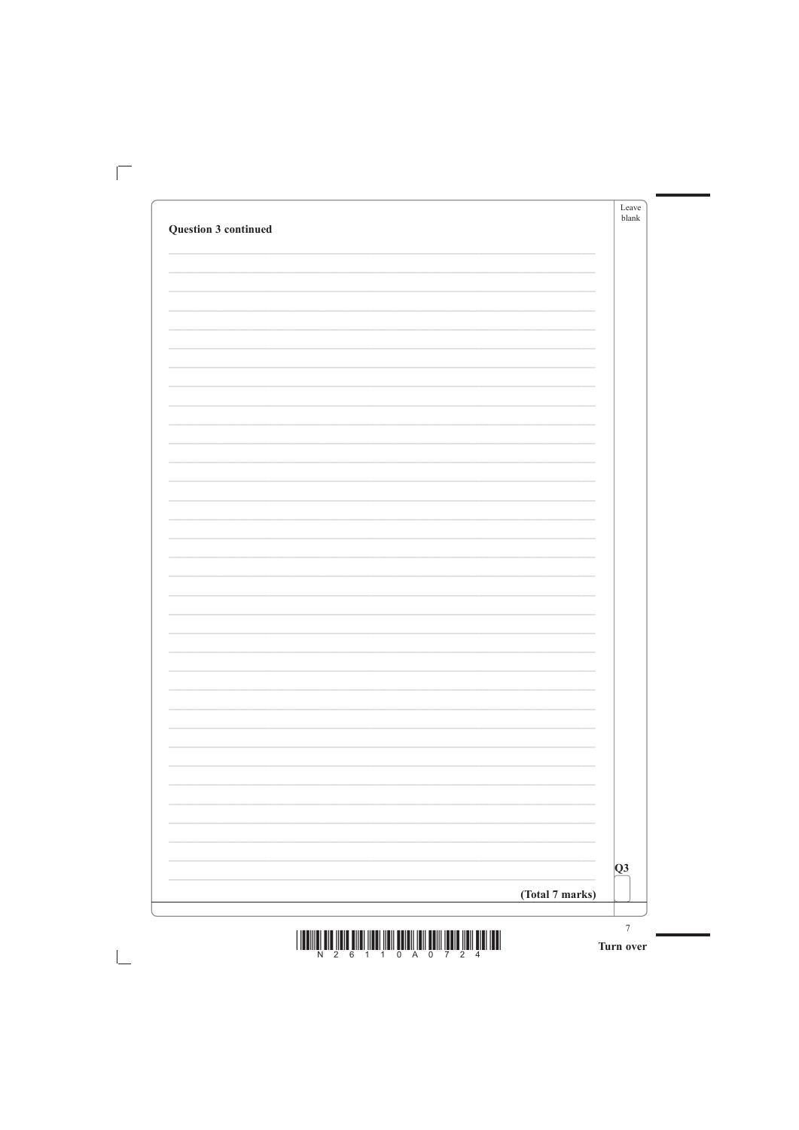|                      | Leave<br>$b$ lank |
|----------------------|-------------------|
| Question 3 continued |                   |
|                      |                   |
|                      |                   |
|                      |                   |
|                      |                   |
|                      |                   |
|                      |                   |
|                      |                   |
|                      |                   |
|                      |                   |
|                      |                   |
|                      |                   |
|                      |                   |
|                      |                   |
|                      |                   |
|                      |                   |
|                      |                   |
|                      |                   |
|                      |                   |
|                      |                   |
|                      |                   |
|                      |                   |
|                      |                   |
|                      |                   |
|                      |                   |
|                      |                   |
|                      |                   |
|                      |                   |
|                      |                   |

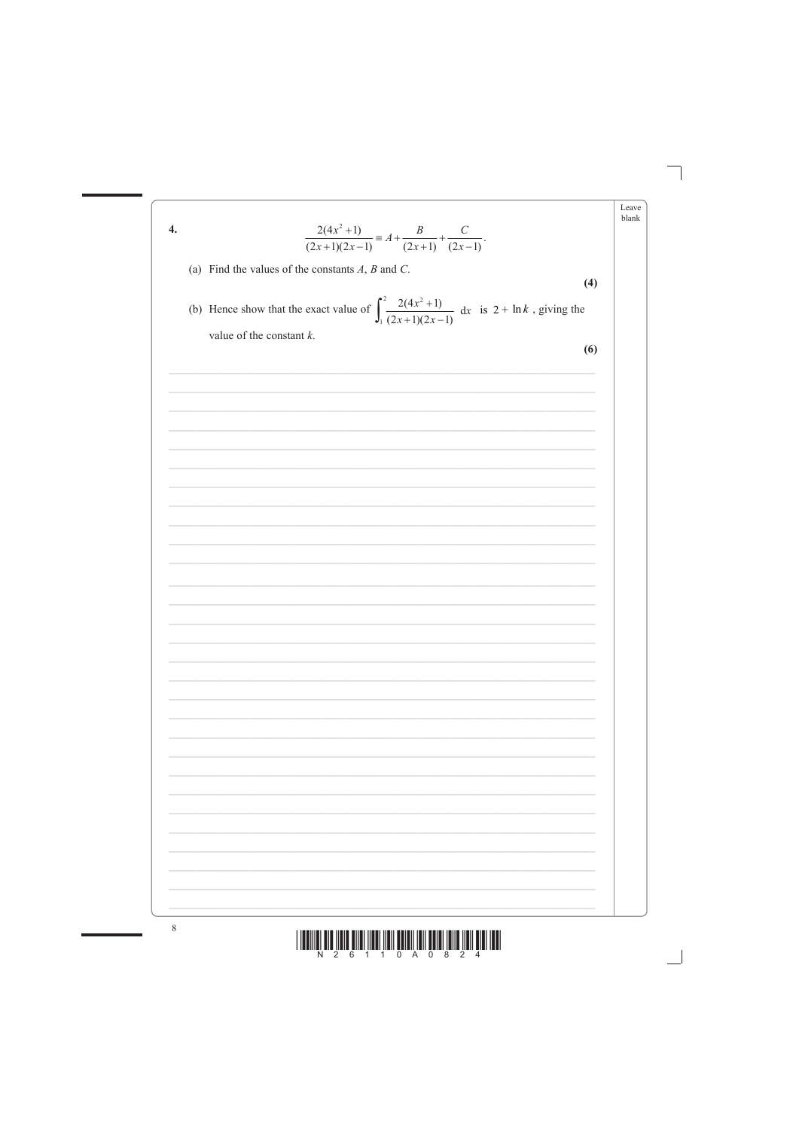





 $\,8\,$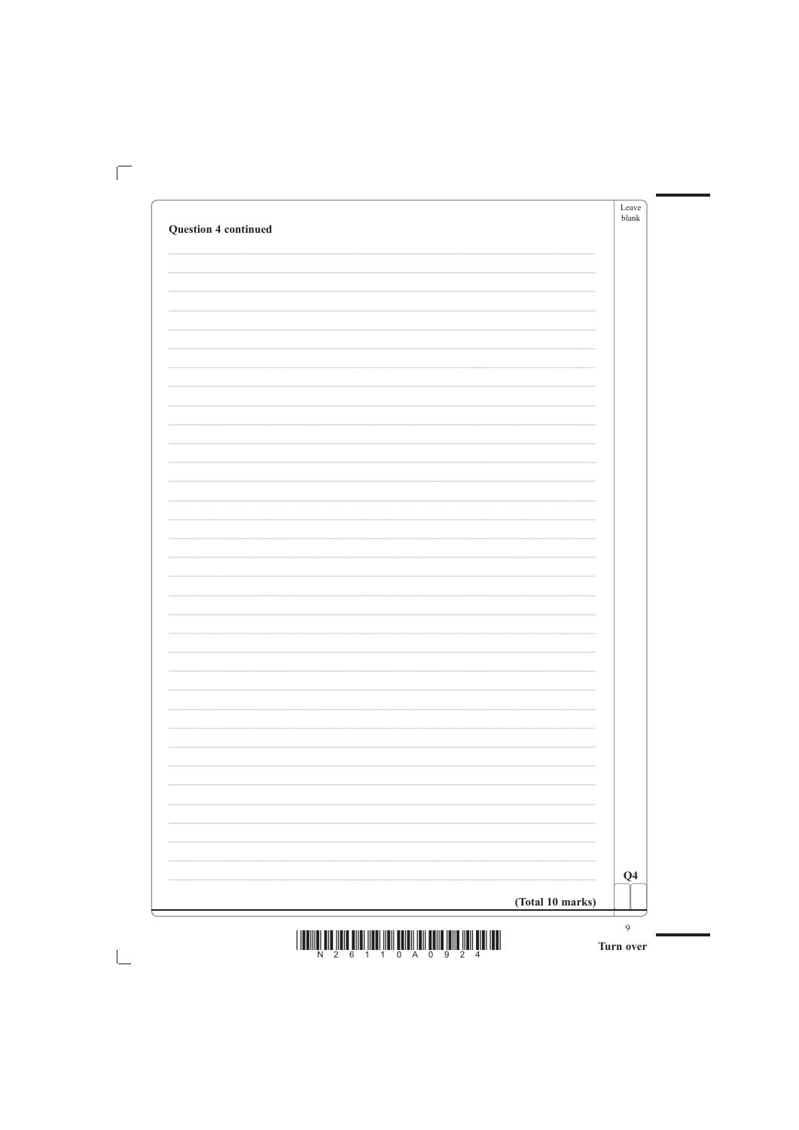|                             | blank |
|-----------------------------|-------|
| <b>Question 4 continued</b> |       |
|                             |       |
|                             |       |
|                             |       |
|                             |       |
|                             |       |
|                             |       |
|                             |       |
|                             |       |
|                             |       |
|                             |       |
|                             |       |
|                             |       |
|                             |       |
|                             |       |
|                             |       |
|                             |       |
|                             |       |
|                             |       |
|                             |       |
|                             |       |
|                             |       |
|                             |       |
|                             |       |
|                             |       |
|                             |       |
|                             |       |
|                             |       |
|                             |       |
|                             |       |
|                             |       |
|                             |       |
|                             |       |
|                             |       |
|                             |       |
|                             |       |

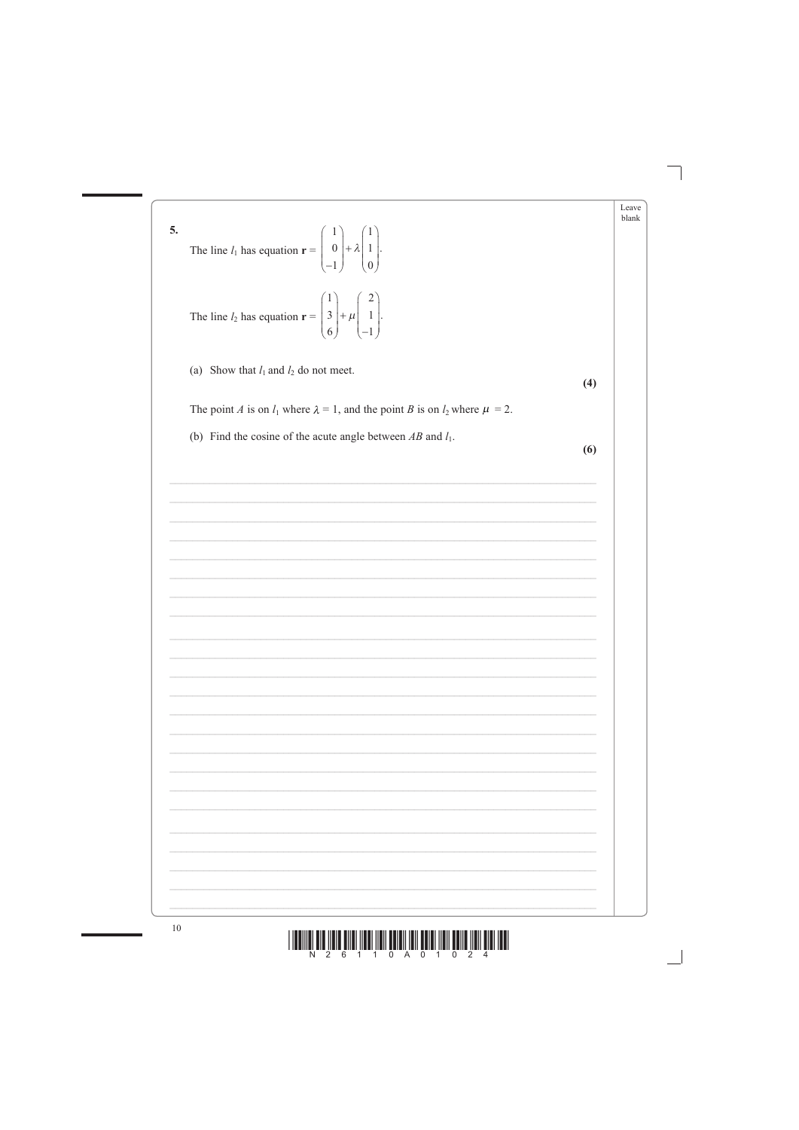



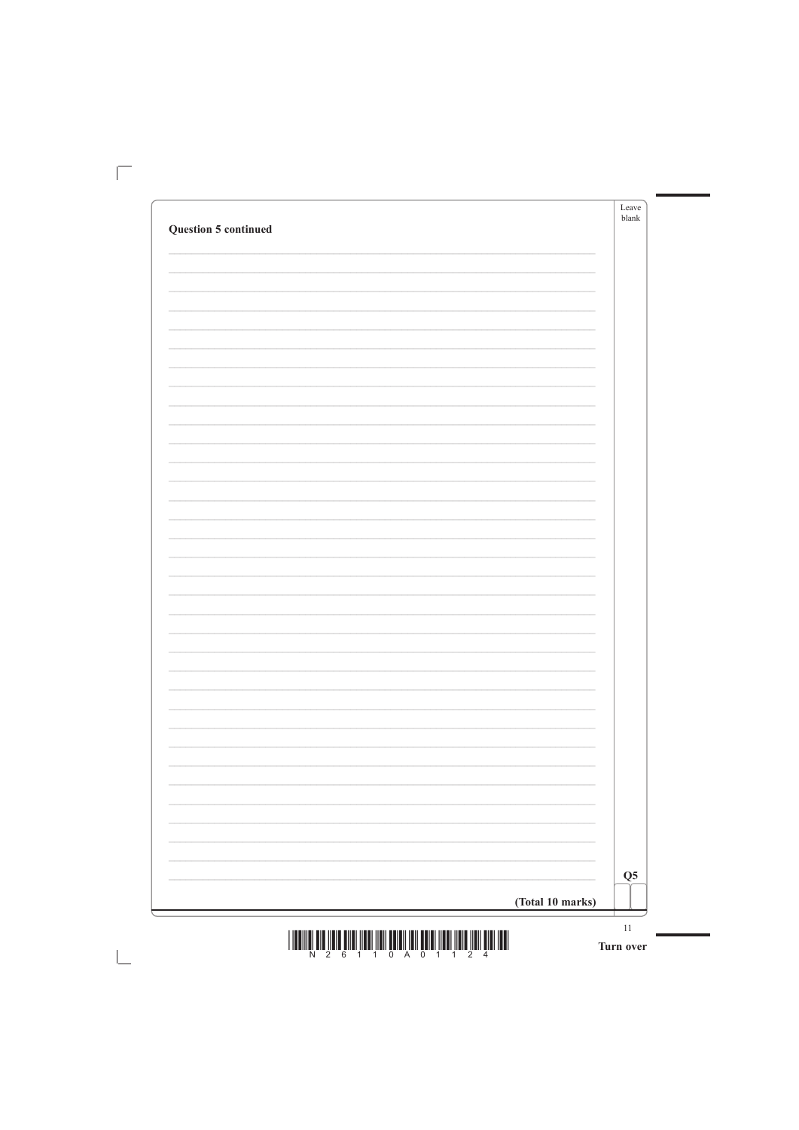|                             | Leave<br>blank |
|-----------------------------|----------------|
| <b>Question 5 continued</b> |                |
|                             |                |
|                             |                |
|                             |                |
|                             |                |
|                             |                |
|                             |                |
|                             |                |
|                             |                |
|                             |                |
|                             |                |
|                             |                |
|                             |                |
|                             |                |
|                             |                |
|                             |                |
|                             |                |
|                             |                |
|                             |                |
|                             |                |
|                             |                |
|                             |                |
|                             |                |
|                             |                |
|                             |                |
|                             |                |
|                             |                |
|                             |                |
|                             |                |
|                             |                |
|                             |                |
|                             |                |
|                             |                |
|                             |                |
|                             |                |
|                             |                |

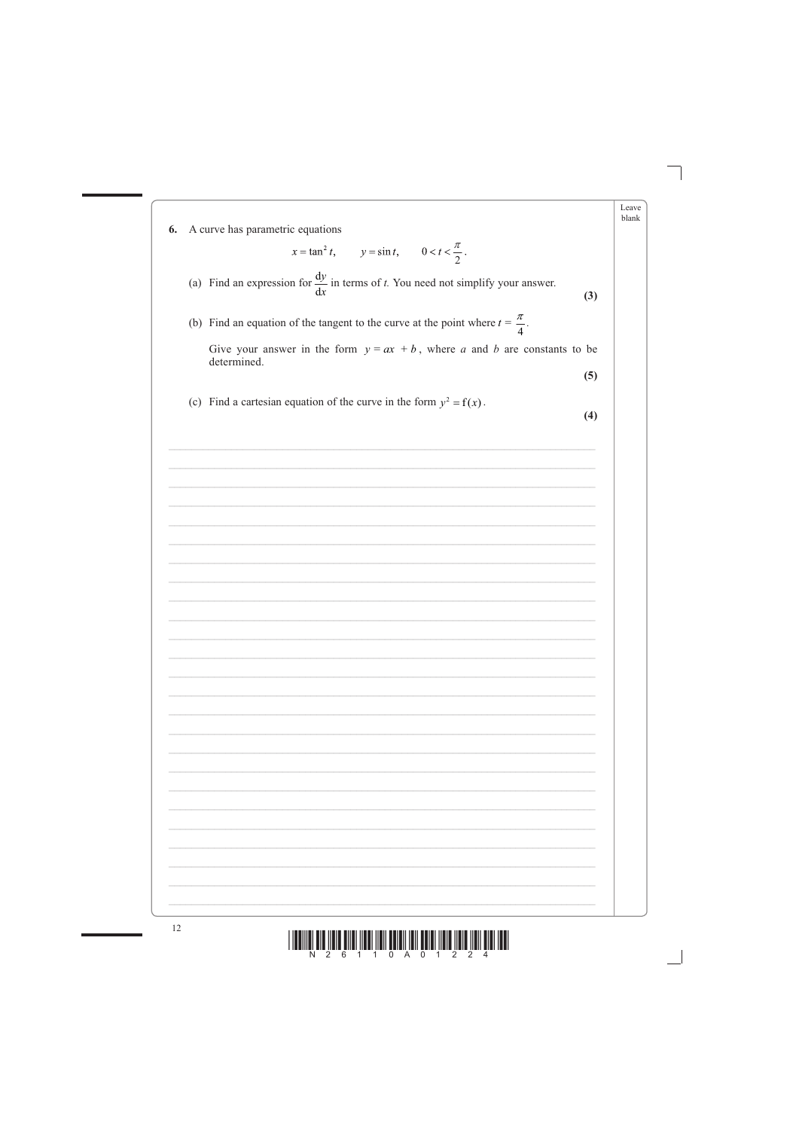| A curve has parametric equations<br>6.                                                               |     |
|------------------------------------------------------------------------------------------------------|-----|
| $x = \tan^2 t$ , $y = \sin t$ , $0 < t < \frac{\pi}{2}$ .                                            |     |
| (a) Find an expression for $\frac{dy}{dx}$ in terms of <i>t</i> . You need not simplify your answer. | (3) |
| (b) Find an equation of the tangent to the curve at the point where $t = \frac{\pi}{4}$ .            |     |
| Give your answer in the form $y = ax + b$ , where a and b are constants to be<br>determined.         |     |
|                                                                                                      | (5) |
| (c) Find a cartesian equation of the curve in the form $y^2 = f(x)$ .                                | (4) |
|                                                                                                      |     |
|                                                                                                      |     |
|                                                                                                      |     |
|                                                                                                      |     |
|                                                                                                      |     |
|                                                                                                      |     |
|                                                                                                      |     |
|                                                                                                      |     |
|                                                                                                      |     |
|                                                                                                      |     |
|                                                                                                      |     |
|                                                                                                      |     |
|                                                                                                      |     |
|                                                                                                      |     |
|                                                                                                      |     |
|                                                                                                      |     |
|                                                                                                      |     |
|                                                                                                      |     |
|                                                                                                      |     |



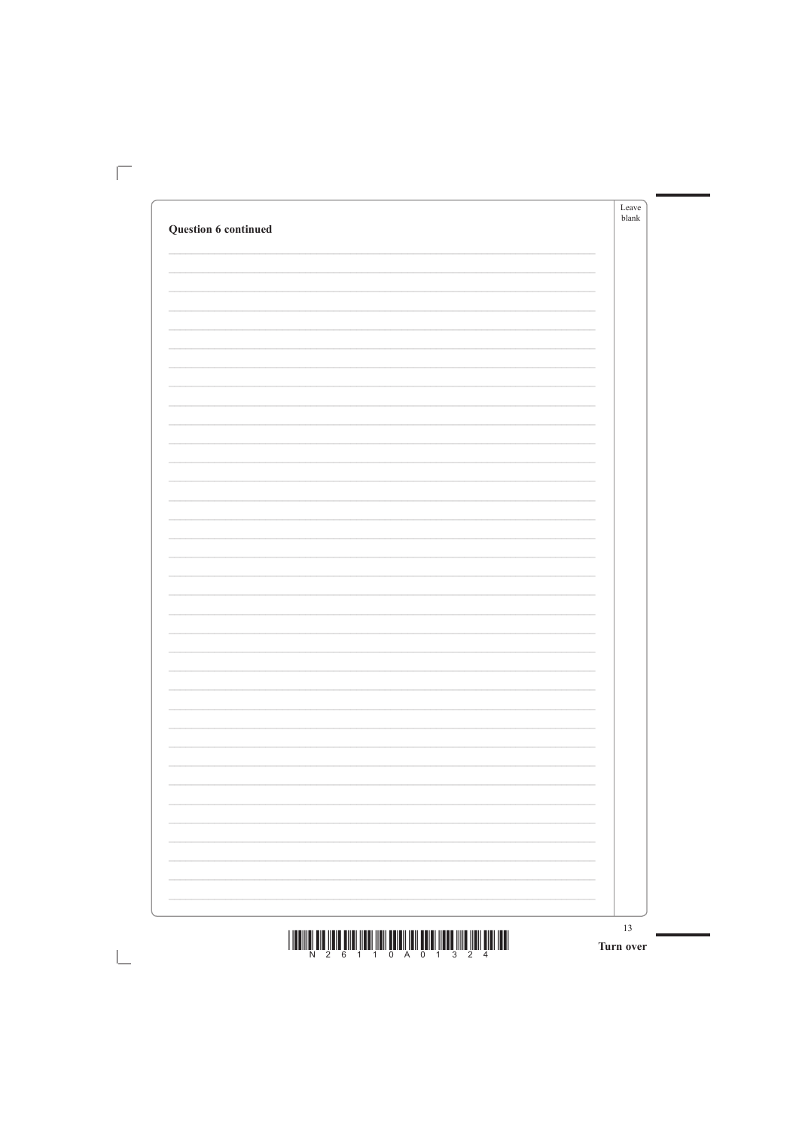|                      | Leave<br>blank |
|----------------------|----------------|
| Question 6 continued |                |
|                      |                |
|                      |                |
|                      |                |
|                      |                |
|                      |                |
|                      |                |
|                      |                |
|                      |                |
|                      |                |
|                      |                |
|                      |                |
|                      |                |
|                      |                |
|                      |                |
|                      |                |
|                      |                |
|                      |                |
|                      |                |
|                      |                |
|                      |                |
|                      |                |
|                      |                |
|                      |                |
|                      |                |
|                      |                |
|                      |                |
|                      |                |
|                      |                |
|                      |                |
|                      |                |
|                      |                |
|                      |                |
|                      |                |
|                      |                |
|                      |                |

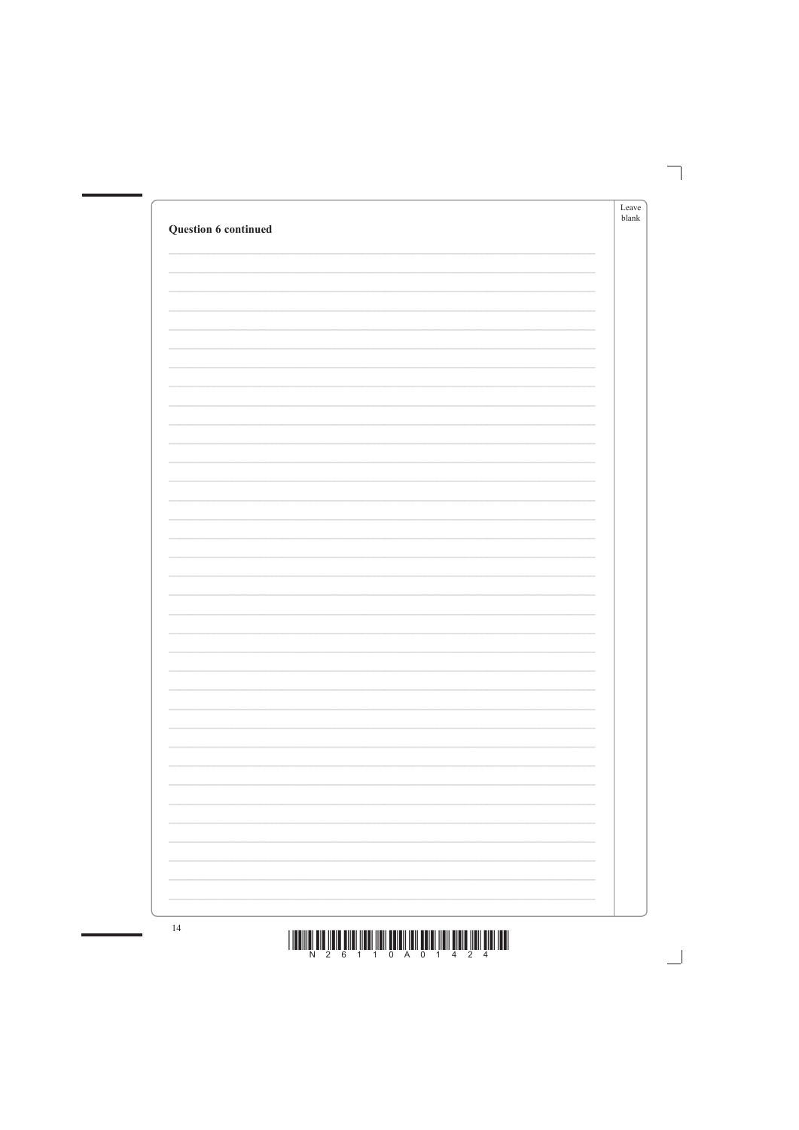| Question 6 continued | Leave<br>blank           |
|----------------------|--------------------------|
|                      |                          |
|                      |                          |
|                      |                          |
|                      |                          |
|                      |                          |
|                      |                          |
|                      |                          |
|                      |                          |
|                      |                          |
|                      |                          |
|                      |                          |
|                      |                          |
|                      |                          |
|                      |                          |
|                      | $\overline{\phantom{0}}$ |
|                      | $\overline{\phantom{0}}$ |
|                      |                          |
|                      | $\overline{\phantom{0}}$ |

 $\overline{\phantom{a}}$ 



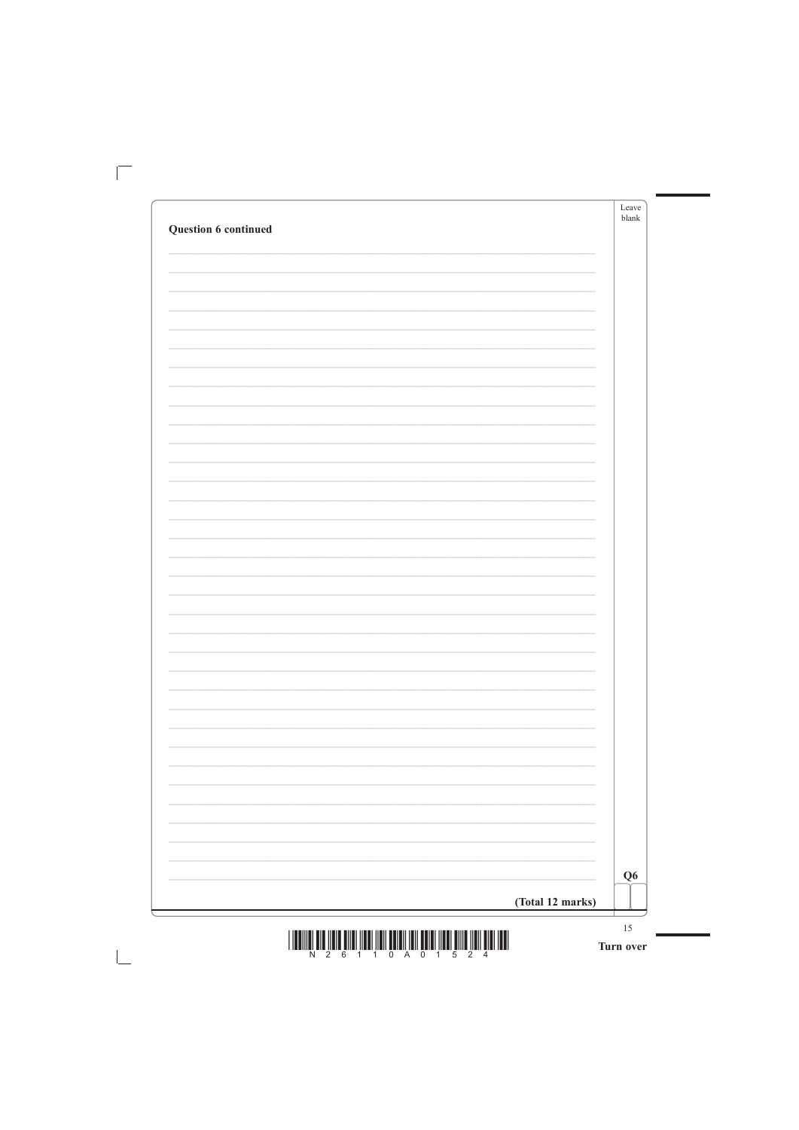|                      | Leave<br>blank |
|----------------------|----------------|
| Question 6 continued |                |
|                      |                |
|                      |                |
|                      |                |
|                      |                |
|                      |                |
|                      |                |
|                      |                |
|                      |                |
|                      |                |
|                      |                |
|                      |                |
|                      |                |
|                      |                |
|                      |                |
|                      |                |
|                      |                |
|                      |                |
|                      |                |
|                      |                |
|                      |                |
|                      |                |
|                      |                |
|                      |                |
|                      |                |
|                      |                |
|                      |                |
|                      |                |
|                      |                |
|                      |                |
|                      |                |
|                      |                |
|                      |                |
|                      |                |
|                      |                |
|                      |                |

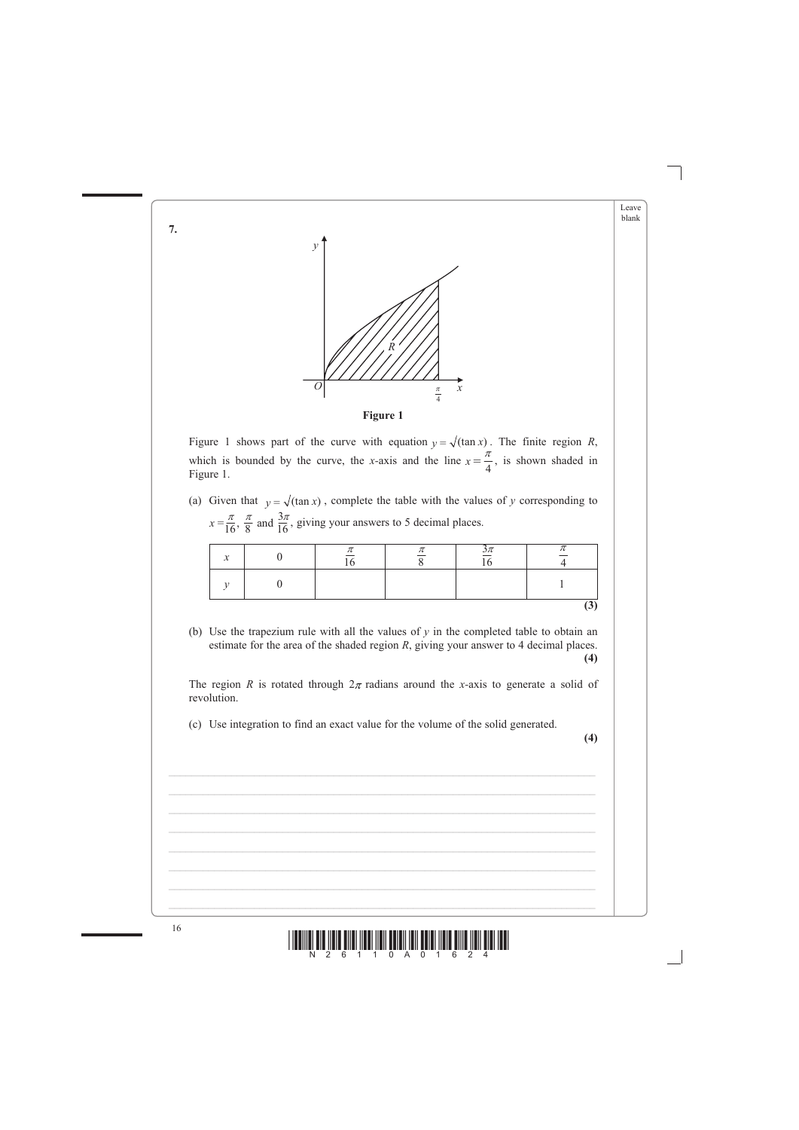

(b) Use the trapezium rule with all the values of  $y$  in the completed table to obtain an estimate for the area of the shaded region *R*, giving your answer to 4 decimal places. **(4)**

The region *R* is rotated through  $2\pi$  radians around the *x*-axis to generate a solid of revolution.

(c) Use integration to find an exact value for the volume of the solid generated.

**(4)**



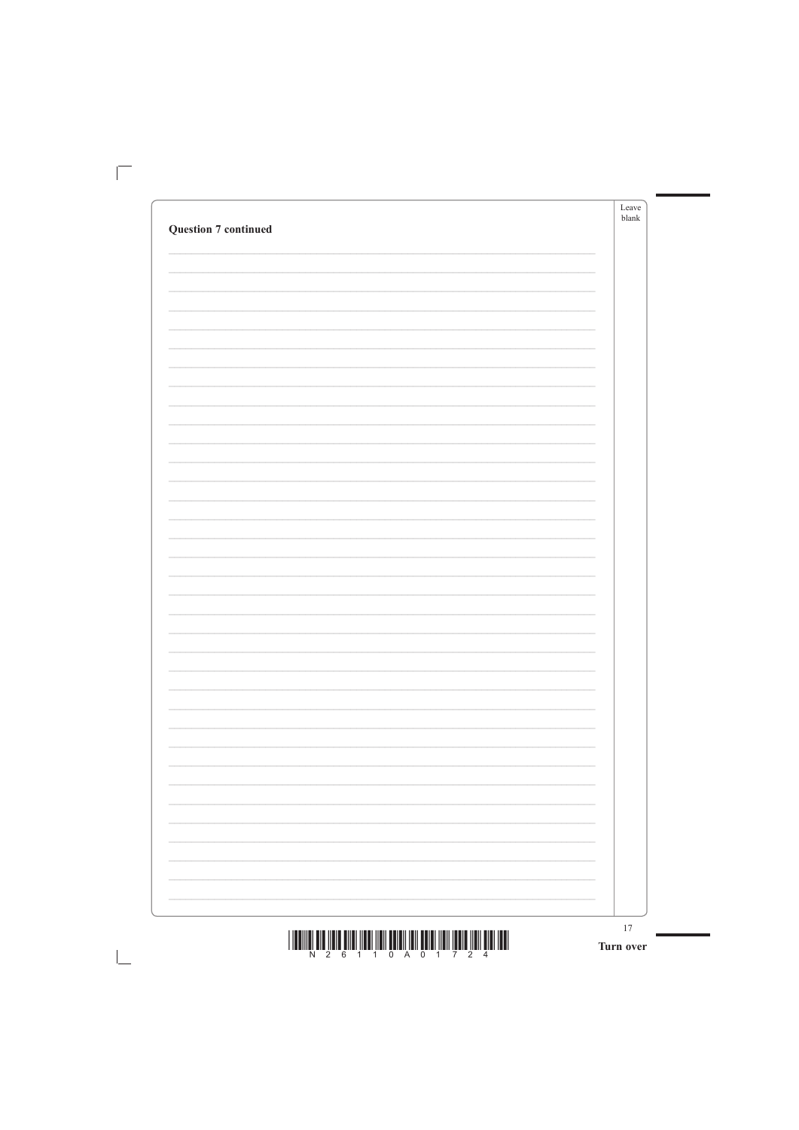| <b>Question 7 continued</b> | Leave<br>$b$ lank |
|-----------------------------|-------------------|
|                             |                   |
|                             |                   |
|                             |                   |
|                             |                   |
|                             |                   |
|                             |                   |
|                             |                   |
|                             |                   |
|                             |                   |
|                             |                   |
|                             |                   |
|                             |                   |
|                             |                   |
|                             |                   |
|                             |                   |
|                             |                   |
|                             |                   |
|                             |                   |
|                             |                   |
|                             |                   |
|                             |                   |
|                             |                   |
|                             |                   |
|                             |                   |
|                             |                   |
|                             |                   |
|                             |                   |
|                             |                   |
|                             |                   |
|                             |                   |

 $\mathbf{I}$ 

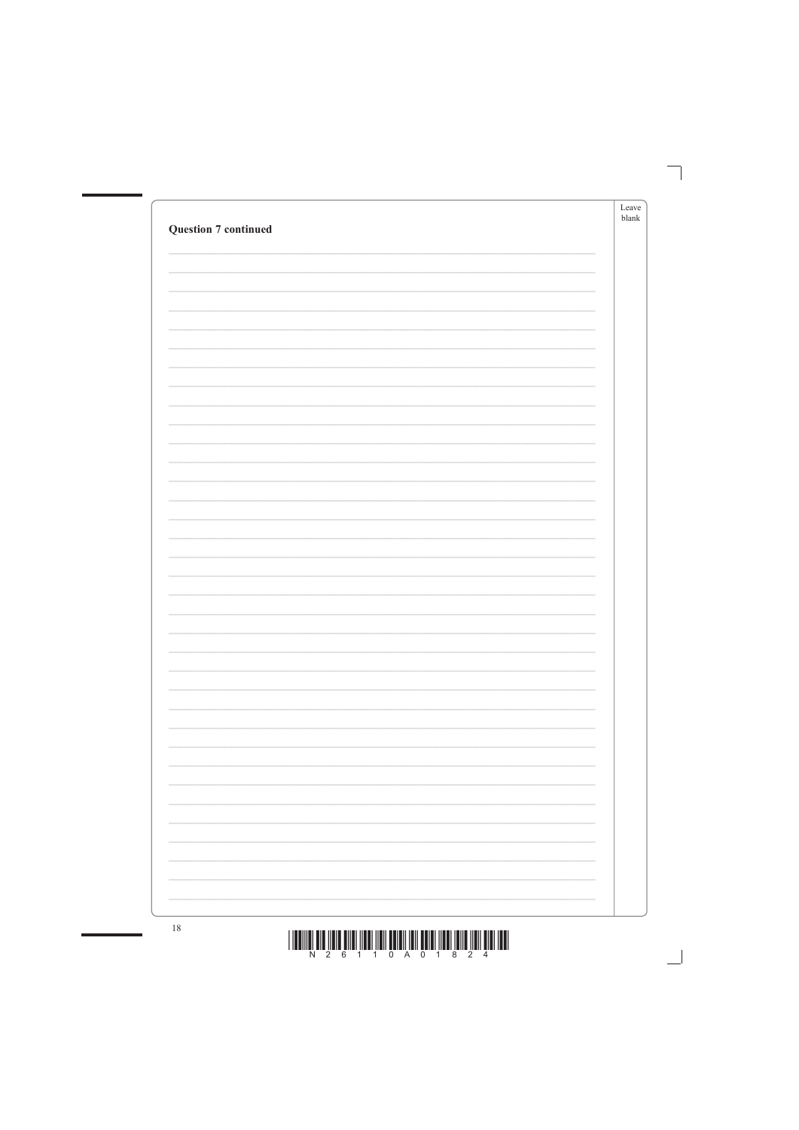| <b>Question 7 continued</b> | Leave<br>$b$ lank        |
|-----------------------------|--------------------------|
|                             |                          |
|                             |                          |
|                             |                          |
|                             |                          |
|                             |                          |
|                             |                          |
|                             |                          |
|                             |                          |
|                             |                          |
|                             |                          |
|                             |                          |
|                             |                          |
|                             |                          |
|                             |                          |
|                             |                          |
|                             |                          |
|                             |                          |
|                             | $\overline{\phantom{a}}$ |

 $\overline{\phantom{a}}$ 



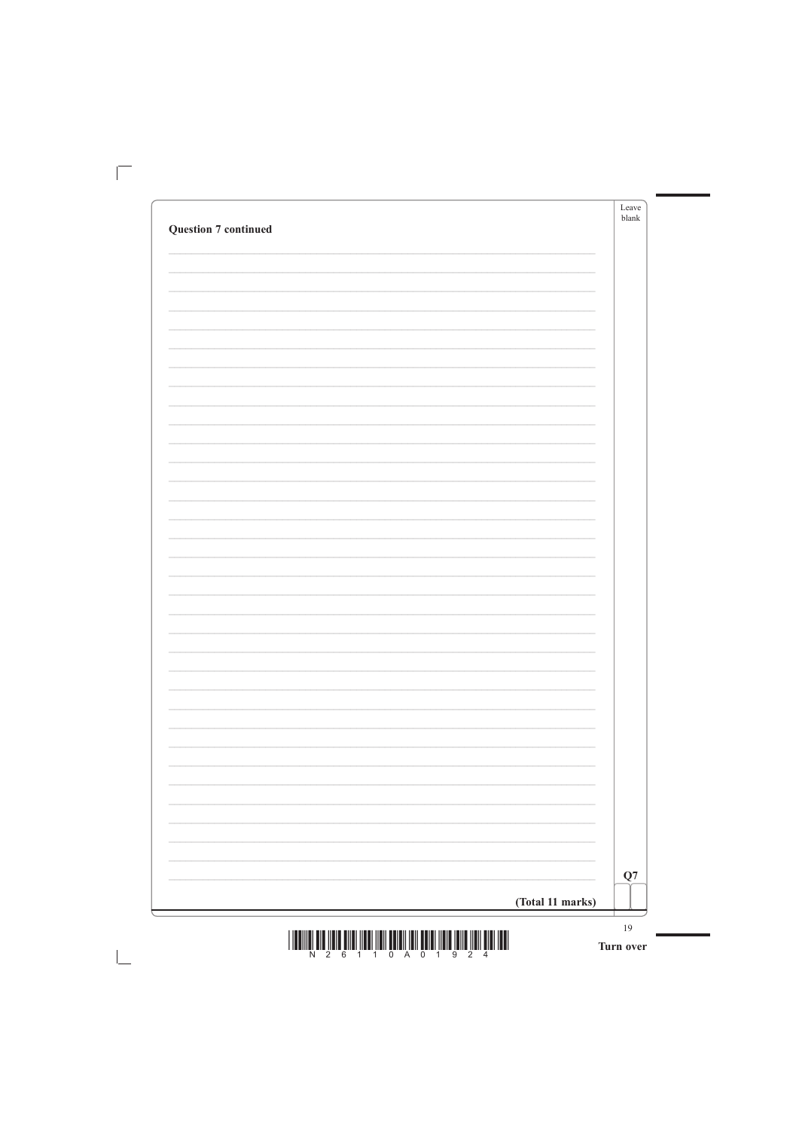| <b>Question 7 continued</b> | Leave<br>$b$ lank |
|-----------------------------|-------------------|
|                             |                   |
|                             |                   |
|                             |                   |
|                             |                   |
|                             |                   |
|                             |                   |
|                             |                   |
|                             |                   |
|                             |                   |
|                             |                   |
|                             |                   |
|                             |                   |
|                             |                   |
|                             |                   |
|                             |                   |
|                             |                   |
|                             |                   |
|                             |                   |
|                             |                   |
|                             |                   |
|                             |                   |
|                             |                   |
|                             |                   |
|                             |                   |
|                             |                   |
|                             |                   |
|                             |                   |
|                             |                   |
|                             |                   |
|                             |                   |

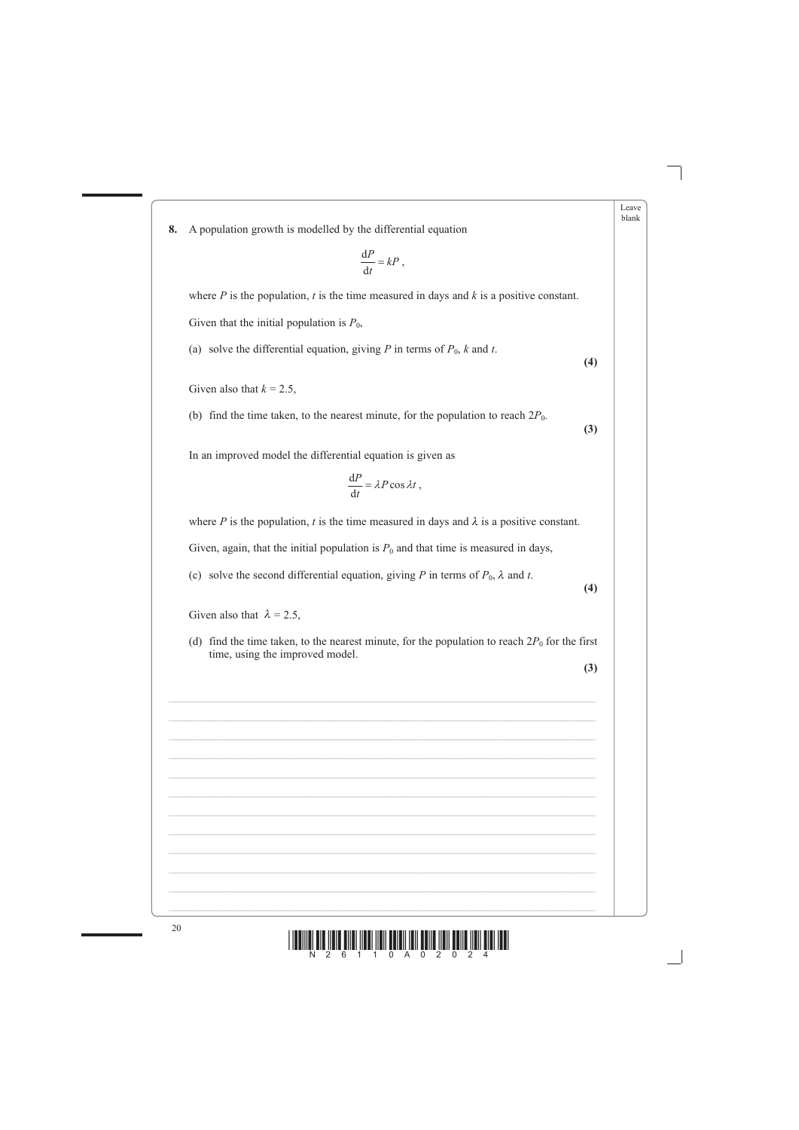



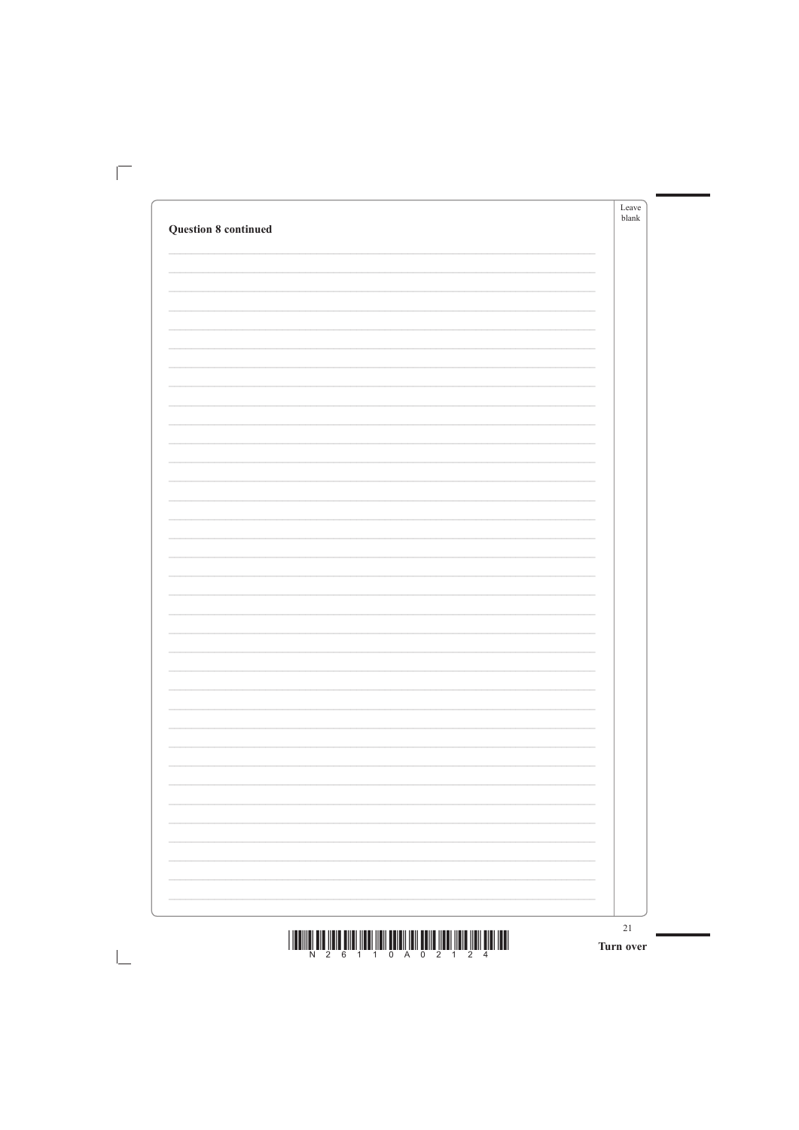|                             | Leave<br>blank |
|-----------------------------|----------------|
| <b>Question 8 continued</b> |                |
|                             |                |
|                             |                |
|                             |                |
|                             |                |
|                             |                |
|                             |                |
|                             |                |
|                             |                |
|                             |                |
|                             |                |
|                             |                |
|                             |                |
|                             |                |
|                             |                |
|                             |                |
|                             |                |
|                             |                |
|                             |                |
|                             |                |
|                             |                |
|                             |                |
|                             |                |
|                             |                |
|                             |                |
|                             |                |
|                             |                |
|                             |                |
|                             |                |
|                             |                |
|                             |                |
|                             |                |
|                             |                |
|                             |                |
|                             |                |

 $\mathbf{I}$ 

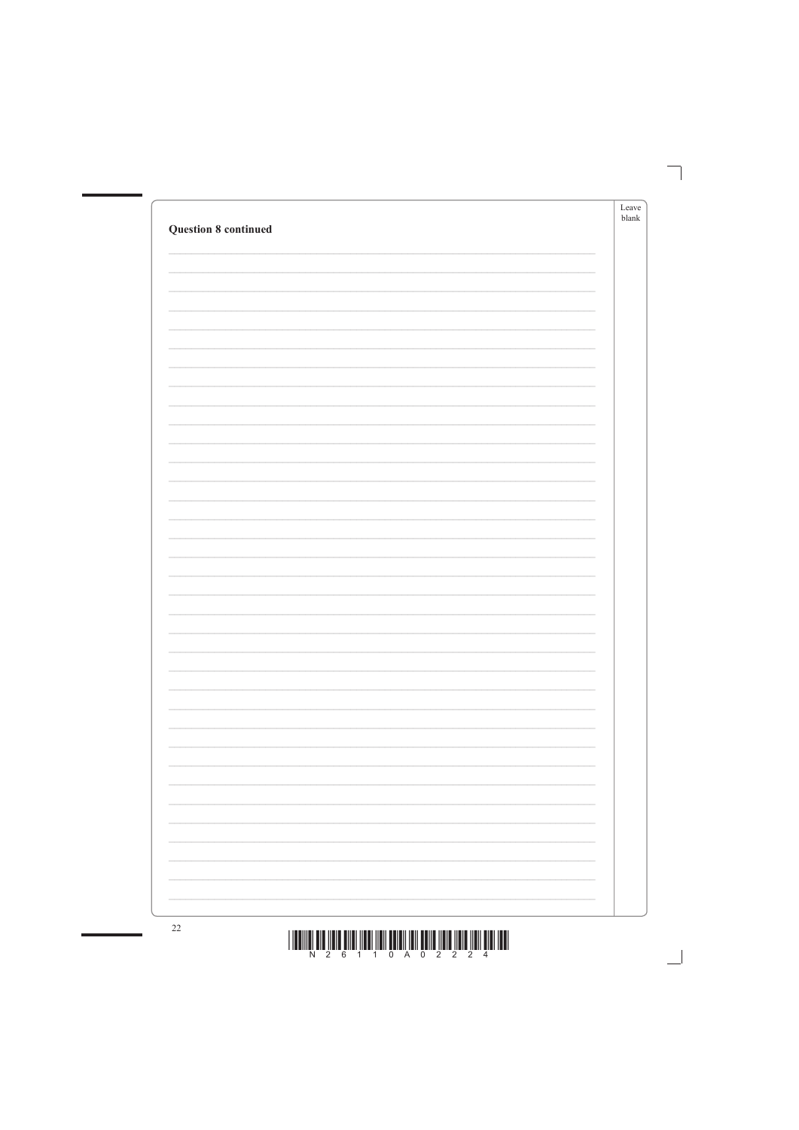| <b>Question 8 continued</b> |                                                 | Leave<br>blank |
|-----------------------------|-------------------------------------------------|----------------|
|                             |                                                 |                |
|                             |                                                 |                |
|                             |                                                 |                |
|                             |                                                 |                |
|                             |                                                 |                |
|                             |                                                 |                |
|                             |                                                 |                |
|                             |                                                 |                |
|                             |                                                 |                |
|                             |                                                 |                |
|                             |                                                 |                |
|                             |                                                 |                |
|                             |                                                 |                |
|                             |                                                 |                |
|                             | $\overline{\phantom{0}}$                        |                |
|                             | the contract of the contract of the contract of |                |
|                             |                                                 |                |
|                             | $\sim$                                          |                |

 $\overline{\phantom{a}}$ 



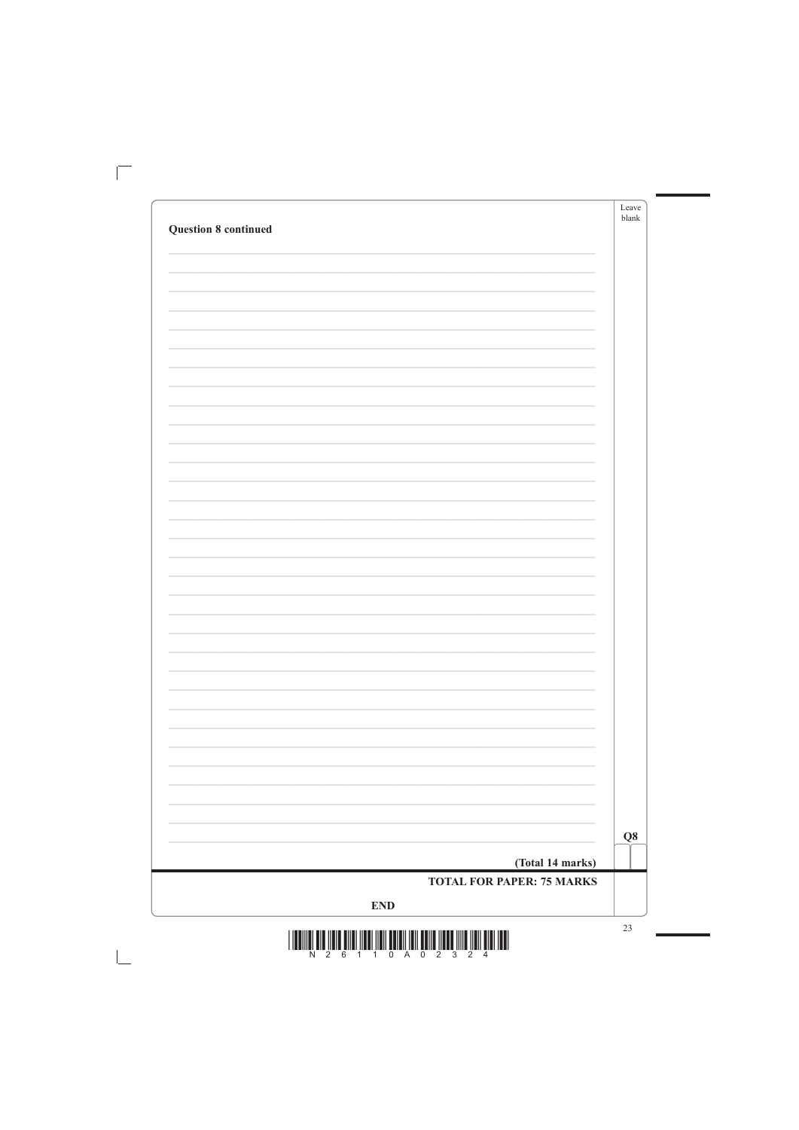| <b>Question 8 continued</b> | Leave<br>$b$ lank |  |
|-----------------------------|-------------------|--|
|                             |                   |  |
|                             |                   |  |
|                             |                   |  |
|                             |                   |  |
|                             |                   |  |
|                             |                   |  |
|                             |                   |  |
|                             |                   |  |
|                             |                   |  |
|                             |                   |  |
|                             |                   |  |
|                             |                   |  |
|                             |                   |  |
|                             |                   |  |
|                             |                   |  |
|                             |                   |  |
|                             |                   |  |
|                             |                   |  |
|                             |                   |  |
|                             |                   |  |
|                             |                   |  |
|                             |                   |  |
|                             |                   |  |
|                             |                   |  |
|                             |                   |  |
|                             |                   |  |
|                             | Q8                |  |

 $\overline{\Box}$